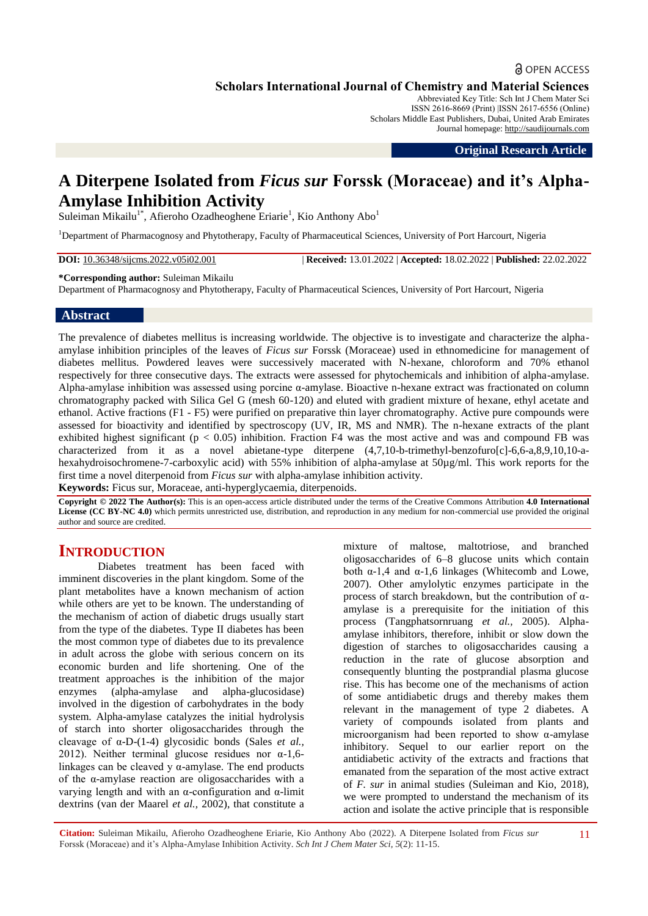## **a** OPEN ACCESS

**Scholars International Journal of Chemistry and Material Sciences**

Abbreviated Key Title: Sch Int J Chem Mater Sci ISSN 2616-8669 (Print) |ISSN 2617-6556 (Online) Scholars Middle East Publishers, Dubai, United Arab Emirates Journal homepage: [http://saudijournals.com](http://saudijournals.com/sijcms/)

**Original Research Article**

## **A Diterpene Isolated from** *Ficus sur* **Forssk (Moraceae) and it's Alpha-Amylase Inhibition Activity**

Suleiman Mikailu<sup>1\*</sup>, Afieroho Ozadheoghene Eriarie<sup>1</sup>, Kio Anthony Abo<sup>1</sup>

<sup>1</sup>Department of Pharmacognosy and Phytotherapy, Faculty of Pharmaceutical Sciences, University of Port Harcourt, Nigeria

**DOI:** 10.36348/sijcms.2022.v05i02.001 | **Received:** 13.01.2022 | **Accepted:** 18.02.2022 | **Published:** 22.02.2022

#### **\*Corresponding author:** Suleiman Mikailu

Department of Pharmacognosy and Phytotherapy, Faculty of Pharmaceutical Sciences, University of Port Harcourt, Nigeria

#### **Abstract**

The prevalence of diabetes mellitus is increasing worldwide. The objective is to investigate and characterize the alphaamylase inhibition principles of the leaves of *Ficus sur* Forssk (Moraceae) used in ethnomedicine for management of diabetes mellitus. Powdered leaves were successively macerated with N-hexane, chloroform and 70% ethanol respectively for three consecutive days. The extracts were assessed for phytochemicals and inhibition of alpha-amylase. Alpha-amylase inhibition was assessed using porcine α-amylase. Bioactive n-hexane extract was fractionated on column chromatography packed with Silica Gel G (mesh 60-120) and eluted with gradient mixture of hexane, ethyl acetate and ethanol. Active fractions (F1 - F5) were purified on preparative thin layer chromatography. Active pure compounds were assessed for bioactivity and identified by spectroscopy (UV, IR, MS and NMR). The n-hexane extracts of the plant exhibited highest significant ( $p < 0.05$ ) inhibition. Fraction F4 was the most active and was and compound FB was characterized from it as a novel abietane-type diterpene (4,7,10-b-trimethyl-benzofuro[c]-6,6-a,8,9,10,10-ahexahydroisochromene-7-carboxylic acid) with 55% inhibition of alpha-amylase at 50µg/ml. This work reports for the first time a novel diterpenoid from *Ficus sur* with alpha-amylase inhibition activity.

**Keywords:** Ficus sur, Moraceae, anti-hyperglycaemia, diterpenoids.

**Copyright © 2022 The Author(s):** This is an open-access article distributed under the terms of the Creative Commons Attribution **4.0 International License (CC BY-NC 4.0)** which permits unrestricted use, distribution, and reproduction in any medium for non-commercial use provided the original author and source are credited.

## **INTRODUCTION**

Diabetes treatment has been faced with imminent discoveries in the plant kingdom. Some of the plant metabolites have a known mechanism of action while others are yet to be known. The understanding of the mechanism of action of diabetic drugs usually start from the type of the diabetes. Type II diabetes has been the most common type of diabetes due to its prevalence in adult across the globe with serious concern on its economic burden and life shortening. One of the treatment approaches is the inhibition of the major enzymes (alpha-amylase and alpha-glucosidase) involved in the digestion of carbohydrates in the body system. Alpha-amylase catalyzes the initial hydrolysis of starch into shorter oligosaccharides through the cleavage of α-D-(1-4) glycosidic bonds (Sales *et al.,* 2012). Neither terminal glucose residues nor α-1,6 linkages can be cleaved y  $\alpha$ -amylase. The end products of the α-amylase reaction are oligosaccharides with a varying length and with an α-configuration and α-limit dextrins (van der Maarel *et al.,* 2002), that constitute a mixture of maltose, maltotriose, and branched oligosaccharides of 6–8 glucose units which contain both α-1,4 and α-1,6 linkages (Whitecomb and Lowe, 2007). Other amylolytic enzymes participate in the process of starch breakdown, but the contribution of αamylase is a prerequisite for the initiation of this process (Tangphatsornruang *et al.,* 2005). Alphaamylase inhibitors, therefore, inhibit or slow down the digestion of starches to oligosaccharides causing a reduction in the rate of glucose absorption and consequently blunting the postprandial plasma glucose rise. This has become one of the mechanisms of action of some antidiabetic drugs and thereby makes them relevant in the management of type 2 diabetes. A variety of compounds isolated from plants and microorganism had been reported to show  $\alpha$ -amylase inhibitory. Sequel to our earlier report on the antidiabetic activity of the extracts and fractions that emanated from the separation of the most active extract of *F. sur* in animal studies (Suleiman and Kio, 2018), we were prompted to understand the mechanism of its action and isolate the active principle that is responsible

**Citation:** Suleiman Mikailu, Afieroho Ozadheoghene Eriarie, Kio Anthony Abo (2022). A Diterpene Isolated from *Ficus sur* Forssk (Moraceae) and it's Alpha-Amylase Inhibition Activity. *Sch Int J Chem Mater Sci, 5*(2): 11-15.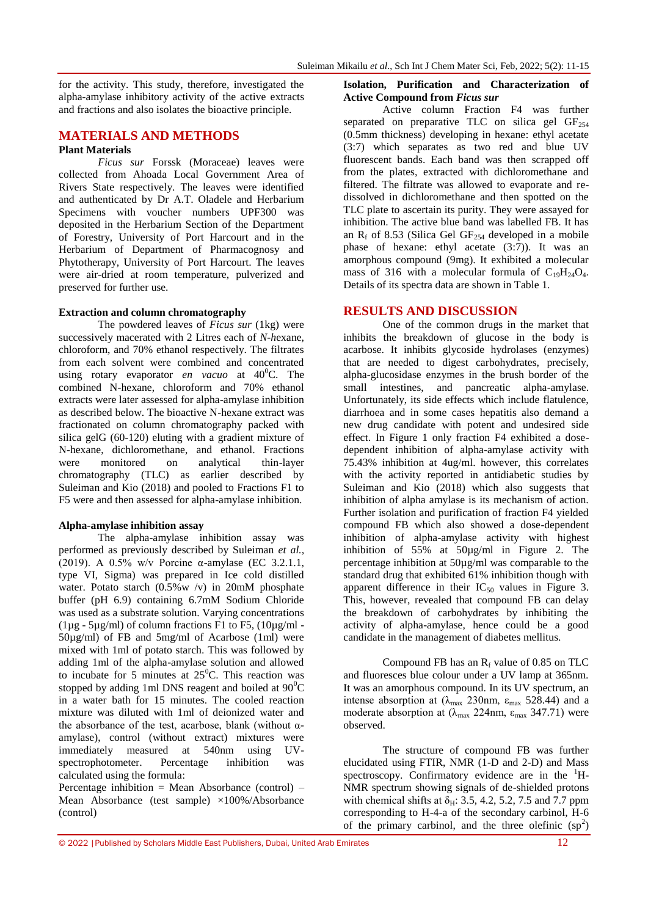for the activity. This study, therefore, investigated the alpha-amylase inhibitory activity of the active extracts and fractions and also isolates the bioactive principle.

## **MATERIALS AND METHODS**

## **Plant Materials**

*Ficus sur* Forssk (Moraceae) leaves were collected from Ahoada Local Government Area of Rivers State respectively. The leaves were identified and authenticated by Dr A.T. Oladele and Herbarium Specimens with voucher numbers UPF300 was deposited in the Herbarium Section of the Department of Forestry, University of Port Harcourt and in the Herbarium of Department of Pharmacognosy and Phytotherapy, University of Port Harcourt. The leaves were air-dried at room temperature, pulverized and preserved for further use.

#### **Extraction and column chromatography**

The powdered leaves of *Ficus sur* (1kg) were successively macerated with 2 Litres each of *N-h*exane, chloroform, and 70% ethanol respectively. The filtrates from each solvent were combined and concentrated using rotary evaporator *en vacuo* at  $40^{\circ}$ C. The combined N-hexane, chloroform and 70% ethanol extracts were later assessed for alpha-amylase inhibition as described below. The bioactive N-hexane extract was fractionated on column chromatography packed with silica gelG (60-120) eluting with a gradient mixture of N-hexane, dichloromethane, and ethanol. Fractions were monitored on analytical thin-layer chromatography (TLC) as earlier described by Suleiman and Kio (2018) and pooled to Fractions F1 to F5 were and then assessed for alpha-amylase inhibition.

#### **Alpha-amylase inhibition assay**

The alpha-amylase inhibition assay was performed as previously described by Suleiman *et al.,* (2019). A 0.5% w/v Porcine α-amylase (EC 3.2.1.1, type VI, Sigma) was prepared in Ice cold distilled water. Potato starch (0.5%w /v) in 20mM phosphate buffer (pH 6.9) containing 6.7mM Sodium Chloride was used as a substrate solution. Varying concentrations  $(1\mu$ g - 5 $\mu$ g/ml) of column fractions F1 to F5,  $(10\mu$ g/ml -50µg/ml) of FB and 5mg/ml of Acarbose (1ml) were mixed with 1ml of potato starch. This was followed by adding 1ml of the alpha-amylase solution and allowed to incubate for 5 minutes at  $25^{\circ}$ C. This reaction was stopped by adding 1ml DNS reagent and boiled at  $90^{\circ}$ C in a water bath for 15 minutes. The cooled reaction mixture was diluted with 1ml of deionized water and the absorbance of the test, acarbose, blank (without  $\alpha$ amylase), control (without extract) mixtures were immediately measured at 540nm using UVspectrophotometer. Percentage inhibition was calculated using the formula:

Percentage inhibition = Mean Absorbance (control) – Mean Absorbance (test sample) ×100%/Absorbance (control)

#### **Isolation, Purification and Characterization of Active Compound from** *Ficus sur*

Active column Fraction F4 was further separated on preparative TLC on silica gel  $GF<sub>254</sub>$ (0.5mm thickness) developing in hexane: ethyl acetate (3:7) which separates as two red and blue UV fluorescent bands. Each band was then scrapped off from the plates, extracted with dichloromethane and filtered. The filtrate was allowed to evaporate and redissolved in dichloromethane and then spotted on the TLC plate to ascertain its purity. They were assayed for inhibition. The active blue band was labelled FB. It has an  $R_f$  of 8.53 (Silica Gel GF<sub>254</sub> developed in a mobile phase of hexane: ethyl acetate (3:7)). It was an amorphous compound (9mg). It exhibited a molecular mass of 316 with a molecular formula of  $C_{19}H_{24}O_4$ . Details of its spectra data are shown in Table 1.

#### **RESULTS AND DISCUSSION**

One of the common drugs in the market that inhibits the breakdown of glucose in the body is acarbose. It inhibits [glycoside hydrolases](https://en.wikipedia.org/wiki/Glycoside_hydrolase) (enzymes) that are needed to digest [carbohydrates,](https://en.wikipedia.org/wiki/Carbohydrate) precisely, [alpha-glucosidase](https://en.wikipedia.org/wiki/Alpha-glucosidase) enzymes in the brush border of the small intestines, and pancreatic [alpha-amylase.](https://en.wikipedia.org/wiki/Alpha-amylase) Unfortunately, its side effects which include flatulence, diarrhoea and in some cases hepatitis also demand a new drug candidate with potent and undesired side effect. In Figure 1 only fraction F4 exhibited a dosedependent inhibition of alpha-amylase activity with 75.43% inhibition at 4ug/ml. however, this correlates with the activity reported in antidiabetic studies by Suleiman and Kio (2018) which also suggests that inhibition of alpha amylase is its mechanism of action. Further isolation and purification of fraction F4 yielded compound FB which also showed a dose-dependent inhibition of alpha-amylase activity with highest inhibition of 55% at 50µg/ml in Figure 2. The percentage inhibition at 50µg/ml was comparable to the standard drug that exhibited 61% inhibition though with apparent difference in their  $IC_{50}$  values in Figure 3. This, however, revealed that compound FB can delay the breakdown of carbohydrates by inhibiting the activity of alpha-amylase, hence could be a good candidate in the management of diabetes mellitus.

Compound FB has an  $R_f$  value of 0.85 on TLC and fluoresces blue colour under a UV lamp at 365nm. It was an amorphous compound. In its UV spectrum, an intense absorption at  $(\lambda_{\text{max}} 230 \text{nm}, \epsilon_{\text{max}} 528.44)$  and a moderate absorption at  $(\lambda_{\text{max}} 224 \text{nm}, \epsilon_{\text{max}} 347.71)$  were observed.

The structure of compound FB was further elucidated using FTIR, NMR (1-D and 2-D) and Mass spectroscopy. Confirmatory evidence are in the  $H$ -NMR spectrum showing signals of de-shielded protons with chemical shifts at  $\delta_{\rm H}$ : 3.5, 4.2, 5.2, 7.5 and 7.7 ppm corresponding to H-4-a of the secondary carbinol, H-6 of the primary carbinol, and the three olefinic  $(sp<sup>2</sup>)$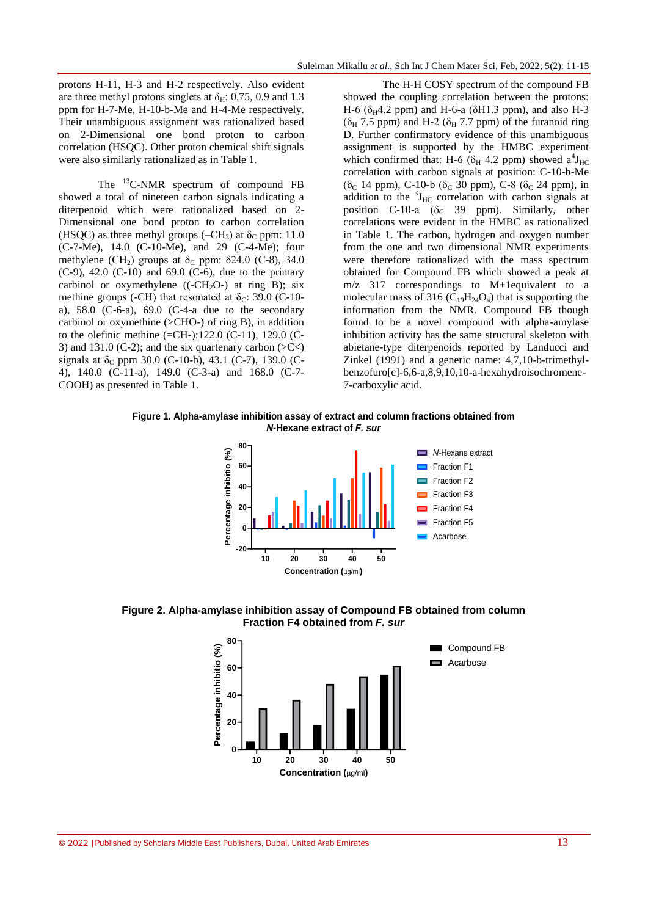protons H-11, H-3 and H-2 respectively. Also evident are three methyl protons singlets at  $\delta_{\rm H}$ : 0.75, 0.9 and 1.3 ppm for H-7-Me, H-10-b-Me and H-4-Me respectively. Their unambiguous assignment was rationalized based on 2-Dimensional one bond proton to carbon correlation (HSQC). Other proton chemical shift signals were also similarly rationalized as in Table 1.

The <sup>13</sup>C-NMR spectrum of compound FB showed a total of nineteen carbon signals indicating a diterpenoid which were rationalized based on 2- Dimensional one bond proton to carbon correlation (HSQC) as three methyl groups (–CH<sub>3</sub>) at  $\delta_c$  ppm: 11.0 (C-7-Me), 14.0 (C-10-Me), and 29 (C-4-Me); four methylene (CH<sub>2</sub>) groups at  $\delta_c$  ppm:  $\delta$ 24.0 (C-8), 34.0  $(C-9)$ , 42.0  $(C-10)$  and 69.0  $(C-6)$ , due to the primary carbinol or oxymethylene  $((-CH<sub>2</sub>O<sub>-</sub>)$  at ring B); six methine groups (-CH) that resonated at  $\delta_c$ : 39.0 (C-10a), 58.0 (C-6-a), 69.0 (C-4-a due to the secondary carbinol or oxymethine  $(>CHO-)$  of ring B), in addition to the olefinic methine (=CH-):122.0 (C-11), 129.0 (C-3) and 131.0 (C-2); and the six quartenary carbon  $(SC<)$ signals at  $\delta$ <sub>C</sub> ppm 30.0 (C-10-b), 43.1 (C-7), 139.0 (C-4), 140.0 (C-11-a), 149.0 (C-3-a) and 168.0 (C-7- COOH) as presented in Table 1.

The H-H COSY spectrum of the compound FB showed the coupling correlation between the protons: H-6 ( $\delta$ <sub>H</sub>4.2 ppm) and H-6-a ( $\delta$ H1.3 ppm), and also H-3 ( $\delta_H$  7.5 ppm) and H-2 ( $\delta_H$  7.7 ppm) of the furanoid ring D. Further confirmatory evidence of this unambiguous assignment is supported by the HMBC experiment which confirmed that: H-6 ( $\delta$ <sub>H</sub> 4.2 ppm) showed a<sup>4</sup>J<sub>HC</sub> correlation with carbon signals at position: C-10-b-Me ( $\delta_c$  14 ppm), C-10-b ( $\delta_c$  30 ppm), C-8 ( $\delta_c$  24 ppm), in addition to the  ${}^{3}J_{\text{HC}}$  correlation with carbon signals at position C-10-a ( $\delta_c$  39 ppm). Similarly, other correlations were evident in the HMBC as rationalized in Table 1. The carbon, hydrogen and oxygen number from the one and two dimensional NMR experiments were therefore rationalized with the mass spectrum obtained for Compound FB which showed a peak at m/z 317 correspondings to M+1equivalent to a molecular mass of 316 ( $C_{19}H_{24}O_4$ ) that is supporting the information from the NMR. Compound FB though found to be a novel compound with alpha-amylase inhibition activity has the same structural skeleton with abietane-type diterpenoids reported by Landucci and Zinkel (1991) and a generic name: 4,7,10-b-trimethylbenzofuro[c]-6,6-a,8,9,10,10-a-hexahydroisochromene-7-carboxylic acid.

# *N***-Hexane extract of** *F. sur*



**Fraction F4 obtained from** *F.sur*

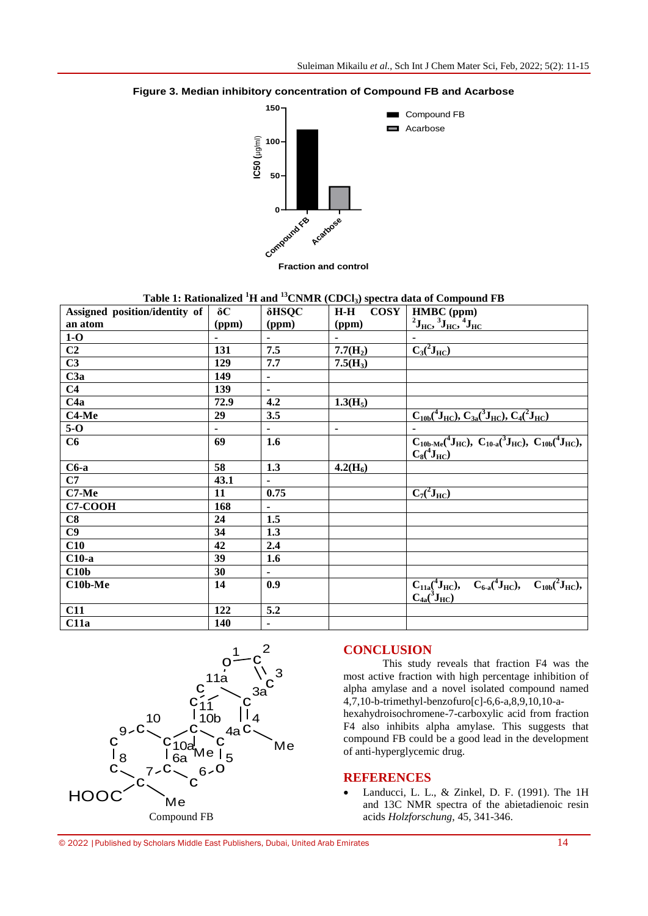

**<sup>150</sup> Figure 3. Median inhibitory concentration of Compound FB and Acarbose**

| Assigned position/identity of | $\delta C$ | $\delta$ HSQC  | $\cos Y$<br>$H-H$ | HMBC (ppm)                                                                                                                                     |
|-------------------------------|------------|----------------|-------------------|------------------------------------------------------------------------------------------------------------------------------------------------|
| an atom                       | (ppm)      | (ppm)          | (ppm)             | $^{2}$ J <sub>HC</sub> , $^{3}$ J <sub>HC</sub> , $^{4}$ J <sub>HC</sub>                                                                       |
| $1-0$                         |            |                |                   |                                                                                                                                                |
| C <sub>2</sub>                | 131        | 7.5            | $7.7(H_2)$        | $C_3(^2J_{HC})$                                                                                                                                |
| C3                            | 129        | 7.7            | $7.5(H_3)$        |                                                                                                                                                |
| C3a                           | 149        | $\blacksquare$ |                   |                                                                                                                                                |
| C <sub>4</sub>                | 139        |                |                   |                                                                                                                                                |
| C4a                           | 72.9       | 4.2            | $1.3(H_5)$        |                                                                                                                                                |
| C <sub>4</sub> -Me            | 29         | 3.5            |                   | $C_{10b}({}^4J_{HC}), C_{3a}({}^3J_{HC}), C_4({}^2J_{HC})$                                                                                     |
| $5-0$                         |            | $\blacksquare$ | ä,                |                                                                                                                                                |
| C6                            | 69         | 1.6            |                   | $C_{10b\text{-}Me}$ ( <sup>4</sup> J <sub>HC</sub> ), $C_{10-a}$ ( <sup>3</sup> J <sub>HC</sub> ), $C_{10b}$ ( <sup>4</sup> J <sub>HC</sub> ), |
|                               |            |                |                   | $C_8(^4J_{\rm HC})$                                                                                                                            |
| $C6-a$                        | 58         | 1.3            | $4.2(H_6)$        |                                                                                                                                                |
| C7                            | 43.1       |                |                   |                                                                                                                                                |
| $C7-Me$                       | 11         | 0.75           |                   | $\overline{C_7(^2J_{HC})}$                                                                                                                     |
| <b>C7-COOH</b>                | 168        |                |                   |                                                                                                                                                |
| C8                            | 24         | 1.5            |                   |                                                                                                                                                |
| C9                            | 34         | 1.3            |                   |                                                                                                                                                |
| C10                           | 42         | 2.4            |                   |                                                                                                                                                |
| $C10-a$                       | 39         | 1.6            |                   |                                                                                                                                                |
| C10 <sub>b</sub>              | 30         |                |                   |                                                                                                                                                |
| $C10b-Me$                     | 14         | 0.9            |                   | $C_{11a}({}^4J_{HC}),$ $C_{6-a}({}^4J_{HC}),$ $C_{10b}({}^2J_{HC}),$                                                                           |
|                               |            |                |                   | $C_{4a}({}^3J_{HC})$                                                                                                                           |
| C11                           | 122        | 5.2            |                   |                                                                                                                                                |
| C11a                          | <b>140</b> | $\blacksquare$ |                   |                                                                                                                                                |



## **CONCLUSION**

This study reveals that fraction F4 was the most active fraction with high percentage inhibition of alpha amylase and a novel isolated compound named 4,7,10-b-trimethyl-benzofuro[c]-6,6-a,8,9,10,10-a-

hexahydroisochromene-7-carboxylic acid from fraction F4 also inhibits alpha amylase. This suggests that compound FB could be a good lead in the development of anti-hyperglycemic drug.

#### **REFERENCES**

• Landucci, L. L., & Zinkel, D. F. (1991). The 1H and 13C NMR spectra of the abietadienoic resin acids *Holzforschung,* 45, 341-346.